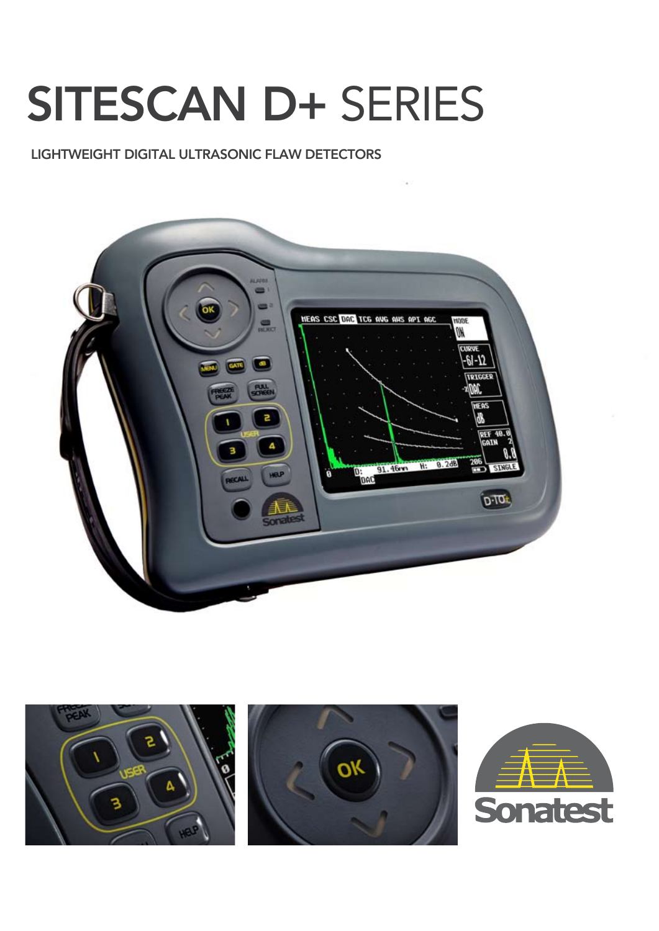# SITESCAN D+ SERIES

#### LIGHTWEIGHT DIGITAL ULTRASONIC FLAW DETECTORS



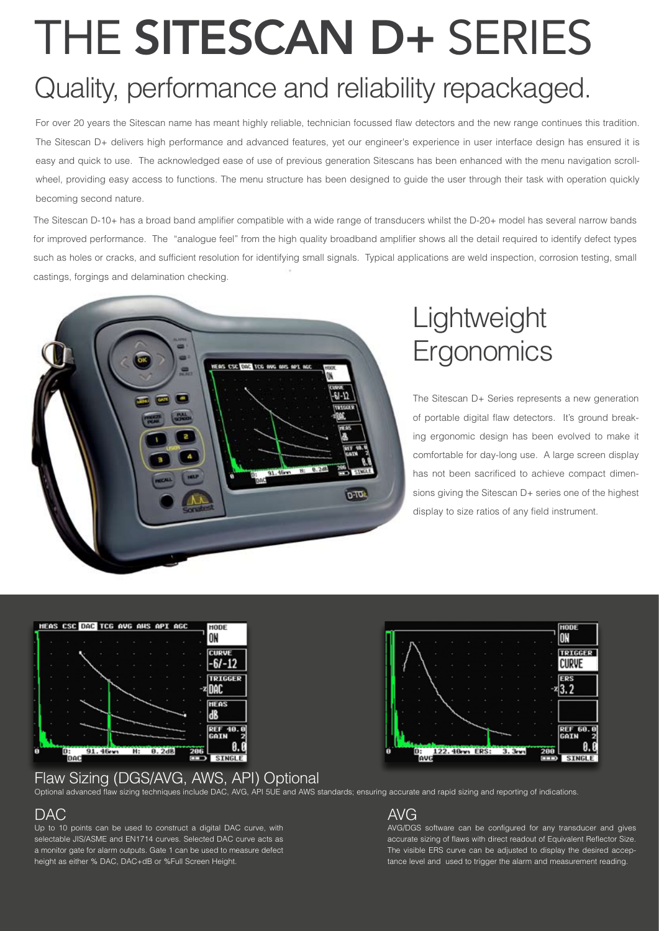## THE SITESCAN D+ SERIES Quality, performance and reliability repackaged.

#### For over 20 years the Sitescan name has meant highly reliable, technician focussed flaw detectors and the new range continues this tradition. The Sitescan D+ delivers high performance and advanced features, yet our engineer's experience in user interface design has ensured it is easy and quick to use. The acknowledged ease of use of previous generation Sitescans has been enhanced with the menu navigation scrollwheel, providing easy access to functions. The menu structure has been designed to guide the user through their task with operation quickly becoming second nature.

The Sitescan D-10+ has a broad band amplifier compatible with a wide range of transducers whilst the D-20+ model has several narrow bands for improved performance. The "analogue feel" from the high quality broadband amplifier shows all the detail required to identify defect types such as holes or cracks, and sufficient resolution for identifying small signals. Typical applications are weld inspection, corrosion testing, small castings, forgings and delamination checking.



### Lightweight Ergonomics

The Sitescan D+ Series represents a new generation of portable digital flaw detectors. It's ground breaking ergonomic design has been evolved to make it comfortable for day-long use. A large screen display has not been sacrificed to achieve compact dimensions giving the Sitescan D+ series one of the highest display to size ratios of any field instrument.

HODE

**CURVE** 

ON **TRIGGER** 



#### Flaw Sizing (DGS/AVG, AWS, API) Optional



#### DAC

Up to 10 points can be used to construct a digital DAC curve, with selectable JIS/ASME and EN1714 curves. Selected DAC curve acts as a monitor gate for alarm outputs. Gate 1 can be used to measure defect height as either % DAC, DAC+dB or %Full Screen Height.

#### AVG

D:<br>TAVG

AVG/DGS software can be configured for any transducer and gives accurate sizing of flaws with direct readout of Equivalent Reflector Size. The visible ERS curve can be adjusted to display the desired acceptance level and used to trigger the alarm and measurement reading.

 $3.3<sub>1</sub>$ 

122.40m ERS: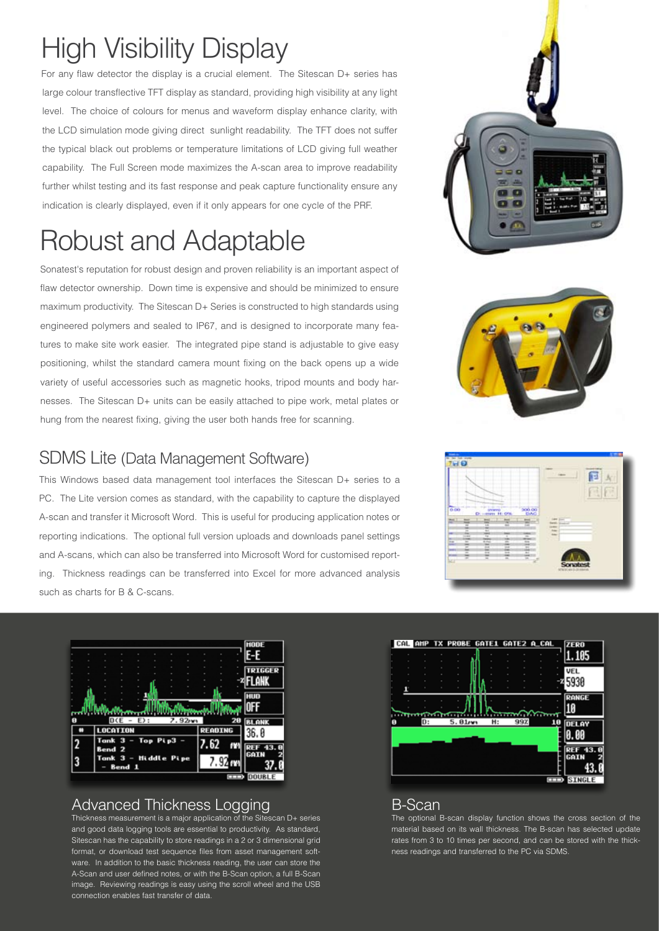### **High Visibility Display**

For any flaw detector the display is a crucial element. The Sitescan D+ series has large colour transflective TFT display as standard, providing high visibility at any light level. The choice of colours for menus and waveform display enhance clarity, with the LCD simulation mode giving direct sunlight readability. The TFT does not suffer the typical black out problems or temperature limitations of LCD giving full weather capability. The Full Screen mode maximizes the A-scan area to improve readability further whilst testing and its fast response and peak capture functionality ensure any indication is clearly displayed, even if it only appears for one cycle of the PRF.

### **Robust and Adaptable**

Sonatest's reputation for robust design and proven reliability is an important aspect of flaw detector ownership. Down time is expensive and should be minimized to ensure maximum productivity. The Sitescan D+ Series is constructed to high standards using engineered polymers and sealed to IP67, and is designed to incorporate many features to make site work easier. The integrated pipe stand is adjustable to give easy positioning, whilst the standard camera mount fixing on the back opens up a wide variety of useful accessories such as magnetic hooks, tripod mounts and body harnesses. The Sitescan D+ units can be easily attached to pipe work, metal plates or hung from the nearest fixing, giving the user both hands free for scanning.

#### **SDMS Lite (Data Management Software)**

This Windows based data management tool interfaces the Sitescan D+ series to a PC. The Lite version comes as standard, with the capability to capture the displayed A-scan and transfer it Microsoft Word. This is useful for producing application notes or reporting indications. The optional full version uploads and downloads panel settings and A-scans, which can also be transferred into Microsoft Word for customised reporting. Thickness readings can be transferred into Excel for more advanced analysis such as charts for B & C-scans.



#### **Advanced Thickness Logging**

Thickness measurement is a major application of the Sitescan  $D$ + series and good data logging tools are essential to productivity. As standard, Sitescan has the capability to store readings in a 2 or 3 dimensional grid format, or download test sequence files from asset management software. In addition to the basic thickness reading, the user can store the A-Scan and user defined notes, or with the B-Scan option, a full B-Scan image. Reviewing readings is easy using the scroll wheel and the USB connection enables fast transfer of data.









#### **B-Scan**

The optional B-scan display function shows the cross section of the material based on its wall thickness. The B-scan has selected update rates from 3 to 10 times per second, and can be stored with the thickness readings and transferred to the PC via SDMS.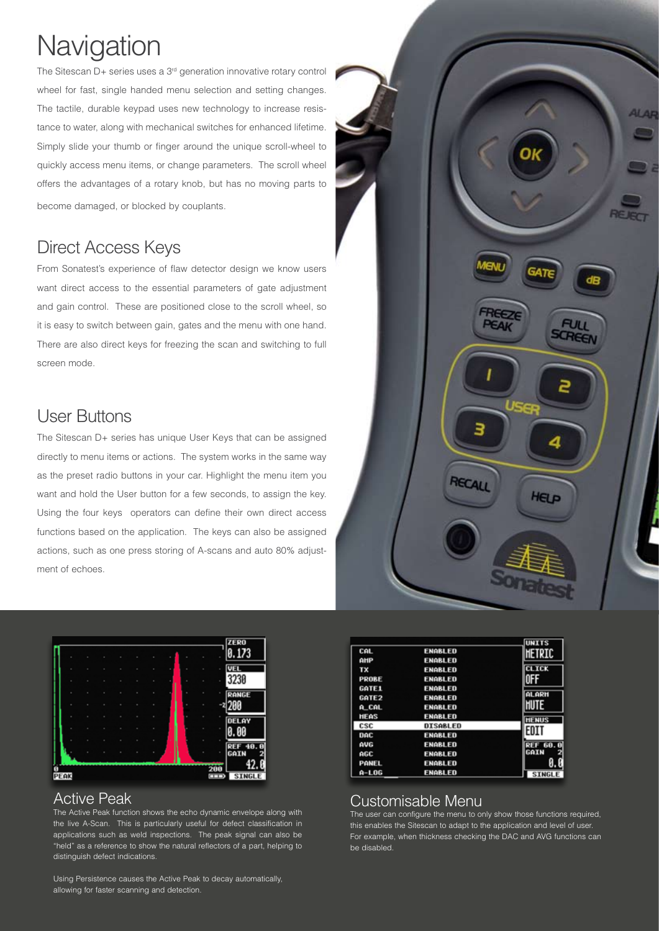### Navigation

The Sitescan  $D+$  series uses a  $3<sup>rd</sup>$  generation innovative rotary control wheel for fast, single handed menu selection and setting changes. The tactile, durable keypad uses new technology to increase resistance to water, along with mechanical switches for enhanced lifetime. Simply slide your thumb or finger around the unique scroll-wheel to quickly access menu items, or change parameters. The scroll wheel offers the advantages of a rotary knob, but has no moving parts to become damaged, or blocked by couplants.

#### **Direct Access Keys**

From Sonatest's experience of flaw detector design we know users want direct access to the essential parameters of gate adjustment and gain control. These are positioned close to the scroll wheel, so it is easy to switch between gain, gates and the menu with one hand. There are also direct keys for freezing the scan and switching to full screen mode.

#### **User Buttons**

The Sitescan D+ series has unique User Keys that can be assigned directly to menu items or actions. The system works in the same way as the preset radio buttons in your car. Highlight the menu item you want and hold the User button for a few seconds, to assign the key. Using the four keys operators can define their own direct access functions based on the application. The keys can also be assigned actions, such as one press storing of A-scans and auto 80% adjustment of echoes.



#### **Active Peak**

The Active Peak function shows the echo dynamic envelope along with the live A-Scan. This is particularly useful for defect classification in applications such as weld inspections. The peak signal can also be "held" as a reference to show the natural reflectors of a part, helping to distinguish defect indications.

Using Persistence causes the Active Peak to decay automatically, allowing for faster scanning and detection.



| CAL               | ENABLED         | <b>UNITS</b><br>HETRIC |
|-------------------|-----------------|------------------------|
| AHP               | <b>ENABLED</b>  |                        |
| TX                | <b>ENABLED</b>  | <b>CLICK</b>           |
| <b>PROBE</b>      | <b>ENABLED</b>  | 0FF                    |
| GATE1             | <b>ENABLED</b>  |                        |
| GATE <sub>2</sub> | <b>ENABLED</b>  | <b>ALARH</b>           |
| A_CAL             | <b>ENABLED</b>  | <b>HUTE</b>            |
| <b>HEAS</b>       | <b>ENABLED</b>  | <b>HENUS</b>           |
| csc               | <b>DISABLED</b> | EDIT                   |
| DAC               | ENABLED         |                        |
| <b>AUG</b>        | ENABLED         | <b>REF 60.</b><br>n    |
| AGC               | <b>ENABLED</b>  | GAIN                   |
| PANEL             | ENABLED         |                        |
| A-L06             | <b>ENABLED</b>  | <b>STNGLE</b>          |

#### Customisable Menu

The user can configure the menu to only show those functions required, this enables the Sitescan to adapt to the application and level of user. For example, when thickness checking the DAC and AVG functions can be disabled.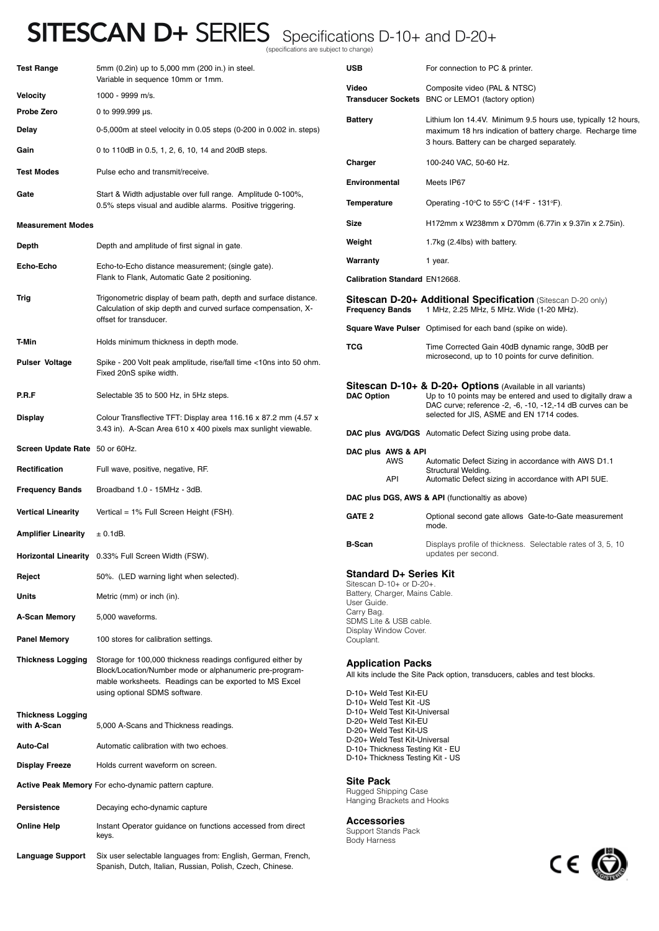#### SITESCAN D+ SERIES Specifications D-10+ and D-20+ specifications are subject to change)

Test Range 5mm (0.2in) up to 5,000 mm (200 in.) in steel. Variable in sequence 10mm or 1mm. **Velocity** 1000 - 9999 m/s. **Probe Zero** 0 to 999.999 µs. **Delay** 0-5,000m at steel velocity in 0.05 steps (0-200 in 0.002 in. steps) Gain 0.5, 1, 2, 6, 10, 14 and 20dB steps. **Test Modes** Pulse echo and transmit/receive. Gate **Gate** Start & Width adjustable over full range. Amplitude 0-100%, 0.5% steps visual and audible alarms. Positive triggering. **Measurement Modes Depth** Depth and amplitude of first signal in gate Echo-Echo **Echo-to-Echo distance measurement**; (single gate). Flank to Flank, Automatic Gate 2 positioning. **Trig** Trigonometric display of beam path, depth and surface distance. Calculation of skip depth and curved surface compensation, Xoffset for transducer. **T-Min Holds** minimum thickness in depth mode. **Pulser Voltage** Spike - 200 Volt peak amplitude, rise/fall time <10ns into 50 ohm. Fixed 20nS spike width. **P.R.F** Selectable 35 to 500 Hz, in 5Hz steps. **Display** Colour Transflective TFT: Display area 116.16 x 87.2 mm (4.57 x 3.43 in). A-Scan Area 610 x 400 pixels max sunlight viewable. **Screen Update Rate** 50 or 60Hz. **Rectification** Full wave, positive, negative, RF. **Frequency Bands** Broadband 1.0 - 15MHz - 3dB. **Vertical Linearity** Vertical = 1% Full Screen Height (FSH). **Amplifier Linearity**  $\pm 0.1$ dB. **Horizontal Linearity** 0.33% Full Screen Width (FSW). **Reject** 50%. (LED warning light when selected). **Units** Metric (mm) or inch (in). **A-Scan Memory** 5,000 waveforms. **Panel Memory** 100 stores for calibration settings. **Thickness Logging** Storage for 100,000 thickness readings configured either by Block/Location/Number mode or alphanumeric pre-programmable worksheets. Readings can be exported to MS Excel using optional SDMS software. **Thickness Logging**  with A-Scan 5,000 A-Scans and Thickness readings **Auto-Cal** Automatic calibration with two echoes. **Display Freeze** Holds current waveform on screen. **Active Peak Memory** For echo-dynamic pattern capture. **Persistence** Decaying echo-dynamic capture **USB** For connection to PC & printer. **DAC plus AWS & API** Sitescan D-10+ or D-20+. User Guide. Carry Bag. SDMS Lite & USB cable. Display Window Cover. Couplant. **Application Packs** D-10+ Weld Test Kit-EU D-10+ Weld Test Kit -US D-20+ Weld Test Kit-EU D-20+ Weld Test Kit-US **Site Pack**  Rugged Shipping Case

**Online Help** Instant Operator guidance on functions accessed from direct

**Language Support** Six user selectable languages from: English, German, French,

Spanish, Dutch, Italian, Russian, Polish, Czech, Chinese.

keys.

**Video** Composite video (PAL & NTSC) **Transducer Sockets** BNC or LEMO1 (factory option) Battery **Exercise Lithium Ion 14.4V.** Minimum 9.5 hours use, typically 12 hours, maximum 18 hrs indication of battery charge. Recharge time 3 hours. Battery can be charged separately. **Charger** 100-240 VAC, 50-60 Hz. **Environmental** Meets IP67 **Temperature Conditional Operating -10°C to 55°C (14°F - 131°F). Size** H172mm x W238mm x D70mm (6.77in x 9.37in x 2.75in). **Weight** 1.7kg (2.4lbs) with battery. **Warranty** 1 year. **Calibration Standard** EN12668. **Sitescan D-20+ Additional Specification** (Sitescan D-20 only)<br>Frequency Bands 1 MHz, 2.25 MHz, 5 MHz. Wide (1-20 MHz). **Frequency Bands** 1 MHz, 2.25 MHz, 5 MHz. Wide (1-20 MHz). **Square Wave Pulser** Optimised for each band (spike on wide). **TCG** Time Corrected Gain 40dB dynamic range, 30dB per microsecond, up to 10 points for curve definition. **Sitescan D-10+ & D-20+ Options** (Available in all variants)<br>DAC Option Up to 10 points may be entered and used to d Up to 10 points may be entered and used to digitally draw a DAC curve; reference -2, -6, -10, -12,-14 dB curves can be selected for JIS, ASME and EN 1714 codes. **DAC plus AVG/DGS** Automatic Defect Sizing using probe data. AWS Automatic Defect Sizing in accordance with AWS D1.1 Structural Welding. API Automatic Defect sizing in accordance with API 5UE. **DAC plus DGS, AWS & API** (functionaltiy as above) GATE 2 **CATE 2** Optional second gate allows Gate-to-Gate measurement mode. **B-Scan** Displays profile of thickness. Selectable rates of 3, 5, 10 updates per second. **Standard D+ Series Kit** Battery, Charger, Mains Cable. All kits include the Site Pack option, transducers, cables and test blocks.

D-10+ Weld Test Kit-Universal D-20+ Weld Test Kit-Universal D-10+ Thickness Testing Kit - EU D-10+ Thickness Testing Kit - US

Hanging Brackets and Hooks

**Accessories** Support Stands Pack Body Harness